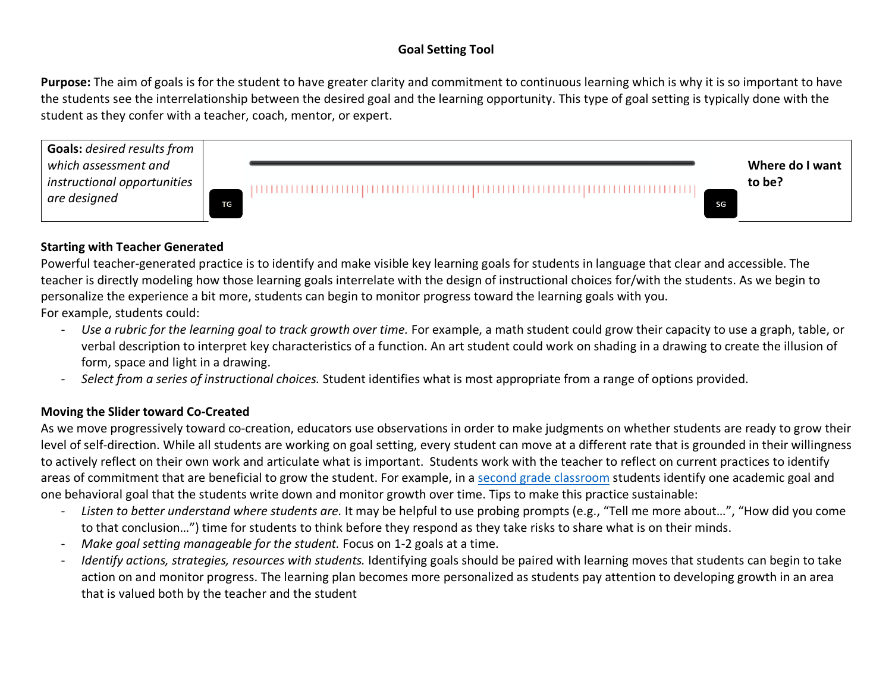## **Goal Setting Tool**

**Purpose:** The aim of goals is for the student to have greater clarity and commitment to continuous learning which is why it is so important to have the students see the interrelationship between the desired goal and the learning opportunity. This type of goal setting is typically done with the student as they confer with a teacher, coach, mentor, or expert.



## **Starting with Teacher Generated**

Powerful teacher-generated practice is to identify and make visible key learning goals for students in language that clear and accessible. The teacher is directly modeling how those learning goals interrelate with the design of instructional choices for/with the students. As we begin to personalize the experience a bit more, students can begin to monitor progress toward the learning goals with you.

For example, students could:

- *Use a rubric for the learning goal to track growth over time.* For example, a math student could grow their capacity to use a graph, table, or verbal description to interpret key characteristics of a function. An art student could work on shading in a drawing to create the illusion of form, space and light in a drawing.
- *Select from a series of instructional choices.* Student identifies what is most appropriate from a range of options provided.

## **Moving the Slider toward Co-Created**

As we move progressively toward co-creation, educators use observations in order to make judgments on whether students are ready to grow their level of self-direction. While all students are working on goal setting, every student can move at a different rate that is grounded in their willingness to actively reflect on their own work and articulate what is important. Students work with the teacher to reflect on current practices to identify areas of commitment that are beneficial to grow the student. For example, in a second grade classroom students identify one academic goal and one behavioral goal that the students write down and monitor growth over time. Tips to make this practice sustainable:

- *Listen to better understand where students are.* It may be helpful to use probing prompts (e.g., "Tell me more about…", "How did you come to that conclusion…") time for students to think before they respond as they take risks to share what is on their minds.
- *Make goal setting manageable for the student.* Focus on 1-2 goals at a time.
- *Identify actions, strategies, resources with students.* Identifying goals should be paired with learning moves that students can begin to take action on and monitor progress. The learning plan becomes more personalized as students pay attention to developing growth in an area that is valued both by the teacher and the student